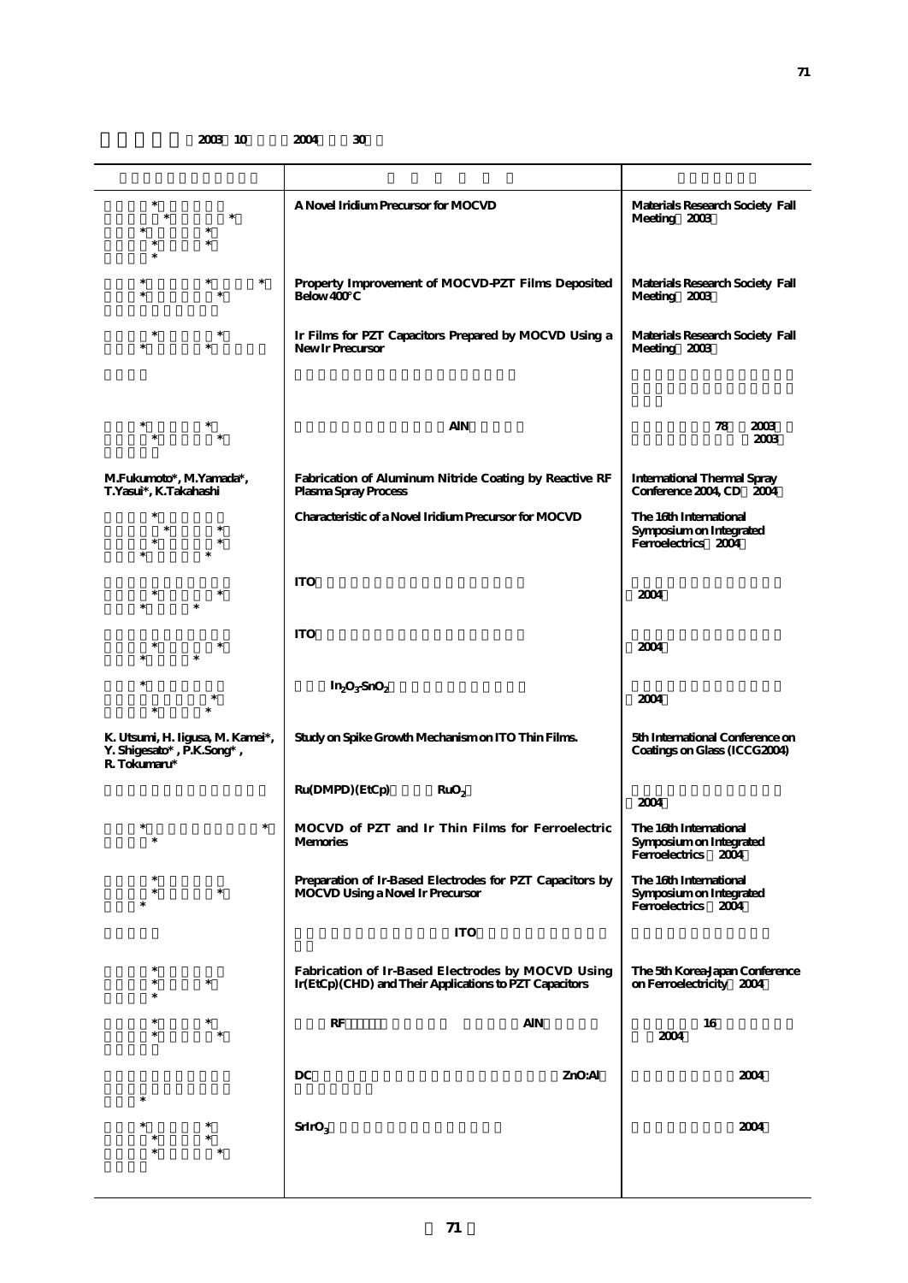**2003 10 2004 30** 

| $\ast$<br>$\ast$<br>$\ast$                                                    | A Novel Iridium Precursor for MOCVD                                                                          | Materials Research Society Fall<br>Meeting 2003                          |
|-------------------------------------------------------------------------------|--------------------------------------------------------------------------------------------------------------|--------------------------------------------------------------------------|
| $\ast$<br>$\ast$                                                              | Property Improvement of MOCVD-PZT Films Deposited<br>Below 400                                               | Materials Research Society Fall<br>Meeting 2003                          |
| *<br>$\ast$                                                                   | Ir Films for PZT Capacitors Prepared by MOCVD Using a<br>New Ir Precursor                                    | Materials Research Society Fall<br>Meeting 2003                          |
|                                                                               |                                                                                                              |                                                                          |
| *<br>$\ast$                                                                   | <b>AIN</b>                                                                                                   | 78<br>2003<br>2003                                                       |
| M.Fukumoto*, M.Yamada*,<br>T.Yasui*, K.Takahashi                              | Fabrication of Aluminum Nitride Coating by Reactive RF<br>Plasma Spray Process                               | <b>International Thermal Spray</b><br>Conference 2004, CD 2004           |
|                                                                               | Characteristic of a Novel Iridium Precursor for MOCVD                                                        | The 16th International<br>Symposium on Integrated<br>Ferroelectrics 2004 |
|                                                                               | <b>ITO</b>                                                                                                   | 2004                                                                     |
|                                                                               | <b>ITO</b>                                                                                                   | 2004                                                                     |
|                                                                               | $In_2O_3SnO_2$                                                                                               | 2004                                                                     |
| K. Utsumi, H. Iigusa, M. Kamei*,<br>Y. Shigesato*, P.K.Song*,<br>R. Tokumaru* | Study on Spike Growth Mechanism on ITO Thin Films.                                                           | 5th International Conference on<br>Coatings on Glass (ICCG2004)          |
|                                                                               | Ru(DMPD) (EtCp)<br>RuO <sub>2</sub>                                                                          | 2004                                                                     |
| $\ast$<br>$\ast$<br>$\ast$                                                    | MOCVD of PZT and Ir Thin Films for Ferroelectric<br>Memories                                                 | The 16th International<br>Symposium on Integrated<br>Ferroelectrics 2004 |
| *<br>$\ast$                                                                   | Preparation of Ir-Based Electrodes for PZT Capacitors by<br>MOCVD Using a Novel Ir Precursor                 | The 16th International<br>Symposium on Integrated<br>Ferroelectrics 2004 |
|                                                                               | <b>ITO</b>                                                                                                   |                                                                          |
| $\ast$                                                                        | Fabrication of Ir-Based Electrodes by MOCVD Using<br>Ir(EtCp) (CHD) and Their Applications to PZT Capacitors | The 5th Korea-Japan Conference<br>on Ferroelectricity 2004               |
|                                                                               | RF<br>AIN                                                                                                    | 16<br>2004                                                               |
| $\ast$                                                                        | DC<br>ZnO:Al                                                                                                 | 2004                                                                     |
|                                                                               | SrIrO <sub>3</sub>                                                                                           | 2004                                                                     |
|                                                                               |                                                                                                              |                                                                          |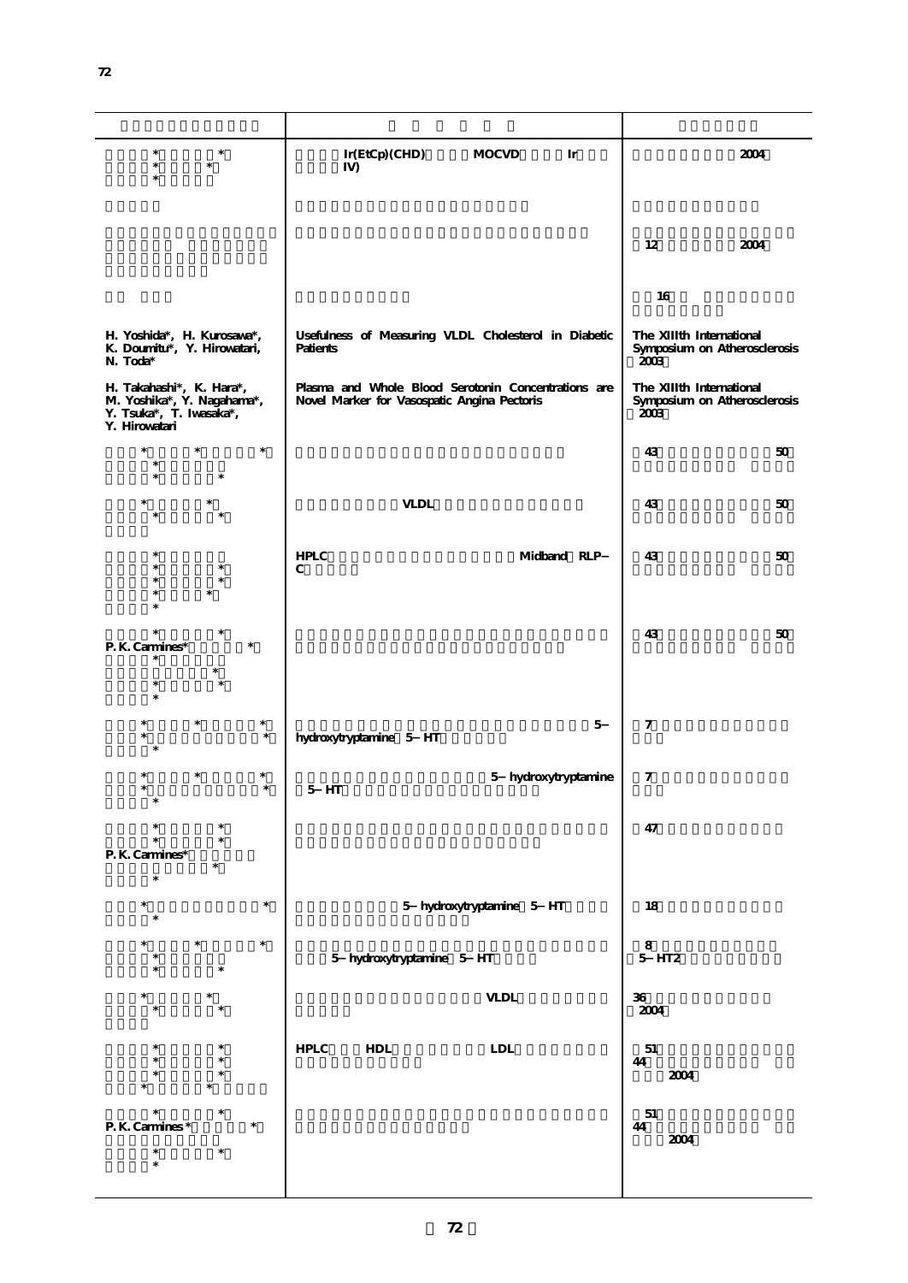| $\ast$<br>$\ast$<br>$\ast$<br>$\ast$                                                               | Ir(EtCp)(CHD)<br><b>MOCVD</b><br>Ir<br>$I$ V)                                                      | 2004                                                             |
|----------------------------------------------------------------------------------------------------|----------------------------------------------------------------------------------------------------|------------------------------------------------------------------|
|                                                                                                    |                                                                                                    | 12<br>2004                                                       |
|                                                                                                    |                                                                                                    | 16                                                               |
| H. Yoshida*, H. Kurosawa*,<br>K. Doumitu*, Y. Hirowatari,<br>N. Toda*                              | Usefulness of Measuring VLDL Cholesterol in Diabetic<br>Patients                                   | The XIIIth International<br>Symposium on Atherosclerosis<br>2003 |
| H. Takahashi*, K. Hara*,<br>M. Yoshika*, Y. Nagahama*,<br>Y. Tsuka*, T. Iwasaka*,<br>Y. Hirowatari | Plasma and Whole Blood Serotonin Concentrations are<br>Novel Marker for Vasospatic Angina Pectoris | The XIIIth International<br>Symposium on Atherosclerosis<br>2003 |
| $\ast$<br>$\ast$<br>$\ast$<br>$\ast$<br>s.                                                         |                                                                                                    | 43<br>50                                                         |
| $\ast$<br>×                                                                                        | <b>VLDL</b>                                                                                        | 43<br>50                                                         |
|                                                                                                    | ${\sf HPLC}$<br>Midband RLP<br>$\mathbf C$                                                         | 43<br>$50\,$                                                     |
| P. K. Carmines*                                                                                    |                                                                                                    | 43<br>50                                                         |
|                                                                                                    |                                                                                                    |                                                                  |
| $\ast$<br>$\ast$                                                                                   | $\mathbf{5}$<br>hydroxytryptamine 5 HT                                                             | 7                                                                |
| $\ast$<br>$\ast$                                                                                   | 5 hydroxytryptamine<br>$5$ HT                                                                      | 7                                                                |
| P. K. Carmines*                                                                                    |                                                                                                    | 47                                                               |
| $\ast$<br>$\ast$                                                                                   | 5 hydroxytryptamine 5 HT                                                                           | 18                                                               |
| $\ast$                                                                                             | 5 hydroxytryptamine 5 HT                                                                           | ${\bf 8}$<br>$5$ HT2                                             |
|                                                                                                    | $\ensuremath{\mathsf{VLDL}}$                                                                       | ${\bf 36}$<br>2004                                               |
|                                                                                                    | <b>HPLC</b><br>${\rm HDL}$<br><b>LDL</b>                                                           | 51<br>$\bf 44$<br>2004                                           |
| P. K. Carmines *                                                                                   |                                                                                                    | $51\,$<br>44                                                     |
| *<br>*<br>$\ast$                                                                                   |                                                                                                    | 2004                                                             |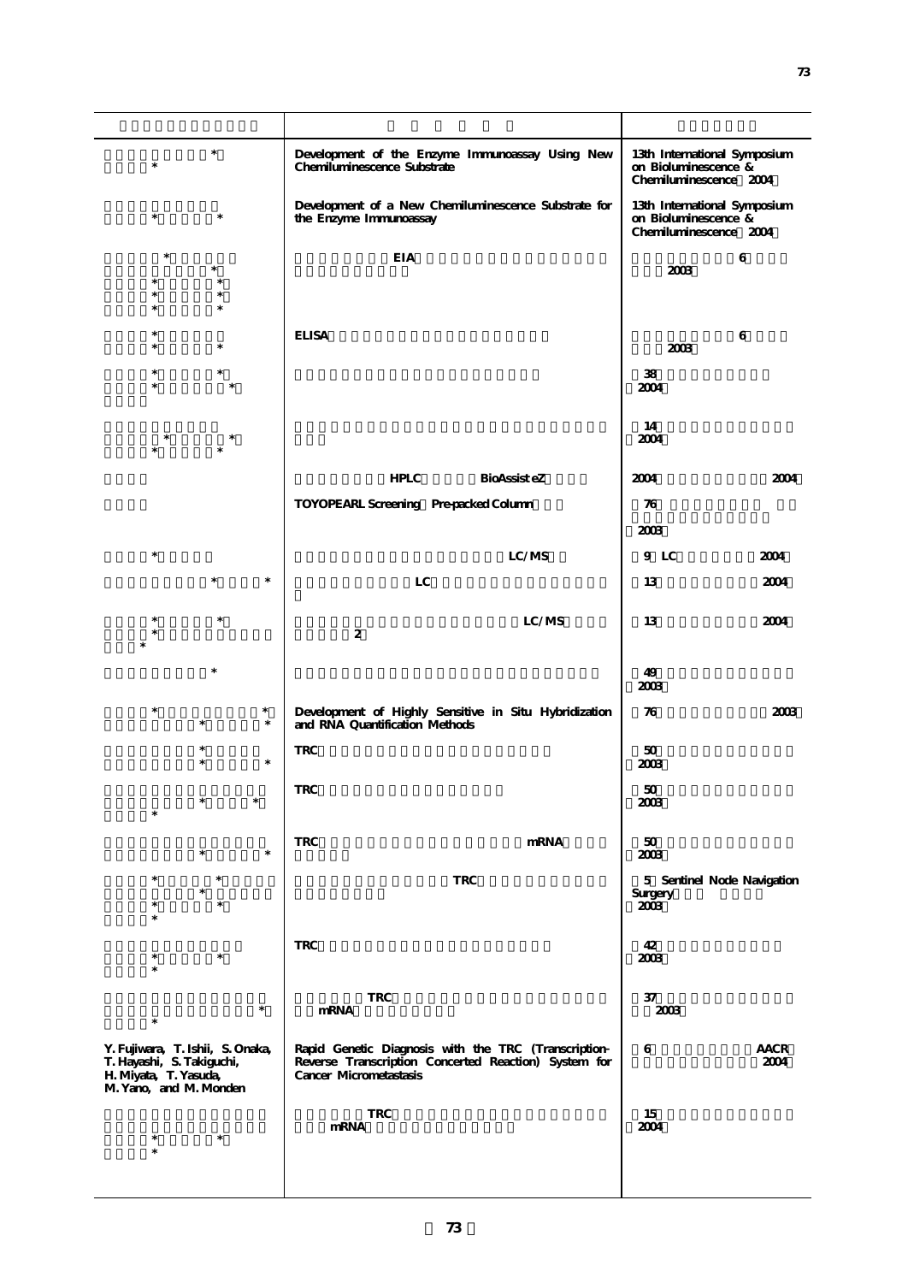| $\ast$                                                                                                           | Development of the Enzyme Immunoassay Using New<br>Chemiluminescence Substrate                                                        | 13th International Symposium<br>on Bioluminescence &<br>Chemiluminescence 2004 |
|------------------------------------------------------------------------------------------------------------------|---------------------------------------------------------------------------------------------------------------------------------------|--------------------------------------------------------------------------------|
| $\ast$<br>*                                                                                                      | Development of a New Chemiluminescence Substrate for<br>the Enzyme Immunoassay                                                        | 13th International Symposium<br>on Bioluminescence &<br>Chemiluminescence 2004 |
| ×                                                                                                                | <b>EIA</b>                                                                                                                            | 6<br>2003                                                                      |
| $\ast$                                                                                                           |                                                                                                                                       |                                                                                |
|                                                                                                                  |                                                                                                                                       |                                                                                |
|                                                                                                                  | <b>ELISA</b>                                                                                                                          | 6                                                                              |
|                                                                                                                  |                                                                                                                                       | 2003                                                                           |
|                                                                                                                  |                                                                                                                                       | 38                                                                             |
|                                                                                                                  |                                                                                                                                       | 2004                                                                           |
|                                                                                                                  |                                                                                                                                       |                                                                                |
|                                                                                                                  |                                                                                                                                       | 14<br>2004                                                                     |
|                                                                                                                  |                                                                                                                                       |                                                                                |
|                                                                                                                  | <b>HPLC</b><br><b>BioAssist</b> eZ                                                                                                    | 2004<br>2004                                                                   |
|                                                                                                                  | TOYOPEARL Screening Pre-packed Column                                                                                                 | 76                                                                             |
|                                                                                                                  |                                                                                                                                       | 2003                                                                           |
| $\ast$                                                                                                           | LC/MS                                                                                                                                 | 9 LC<br>2004                                                                   |
|                                                                                                                  |                                                                                                                                       |                                                                                |
| $\ast$                                                                                                           | LC                                                                                                                                    | 13<br>2004                                                                     |
|                                                                                                                  | LC/MS                                                                                                                                 | 13<br>2004                                                                     |
|                                                                                                                  | $\boldsymbol{2}$                                                                                                                      |                                                                                |
|                                                                                                                  |                                                                                                                                       |                                                                                |
|                                                                                                                  |                                                                                                                                       | 49<br>2003                                                                     |
| $\ast$<br>$\ast$<br>$\ast$<br>$\ast$                                                                             | Development of Highly Sensitive in Situ Hybridization<br>and RNA Quantification Methods                                               | 76<br>2003                                                                     |
| $\ast$                                                                                                           | $\operatorname{TRC}$                                                                                                                  | 50<br>2003                                                                     |
|                                                                                                                  | <b>TRC</b>                                                                                                                            | 50                                                                             |
| $\ast$<br>*                                                                                                      |                                                                                                                                       | 2003                                                                           |
| $\ast$                                                                                                           |                                                                                                                                       |                                                                                |
| $\ast$<br>$\ast$                                                                                                 | <b>TRC</b><br>mRNA                                                                                                                    | 50<br>2003                                                                     |
| $\ast$                                                                                                           | <b>TRC</b>                                                                                                                            | 5 Sentinel Node Navigation                                                     |
| $\ast$                                                                                                           |                                                                                                                                       | Surgery<br>2003                                                                |
|                                                                                                                  |                                                                                                                                       |                                                                                |
|                                                                                                                  | <b>TRC</b>                                                                                                                            | 42                                                                             |
| $\ast$                                                                                                           |                                                                                                                                       | 2003                                                                           |
|                                                                                                                  |                                                                                                                                       |                                                                                |
| $\ast$                                                                                                           | <b>TRC</b><br>mRNA                                                                                                                    | 37<br>2003                                                                     |
|                                                                                                                  |                                                                                                                                       |                                                                                |
| Y. Fujiwara, T. Ishii, S. Onaka,<br>T. Hayashi, S. Takiguchi,<br>H. Miyata, T. Yasuda,<br>M. Yano, and M. Monden | Rapid Genetic Diagnosis with the TRC (Transcription<br>Reverse Transcription Concerted Reaction) System for<br>Cancer Micrometastasis | 6<br>AACR<br>2004                                                              |
|                                                                                                                  | <b>TRC</b>                                                                                                                            | 15                                                                             |
| $\ast$<br>∗                                                                                                      | mRNA                                                                                                                                  | 2004                                                                           |
|                                                                                                                  |                                                                                                                                       |                                                                                |
|                                                                                                                  |                                                                                                                                       |                                                                                |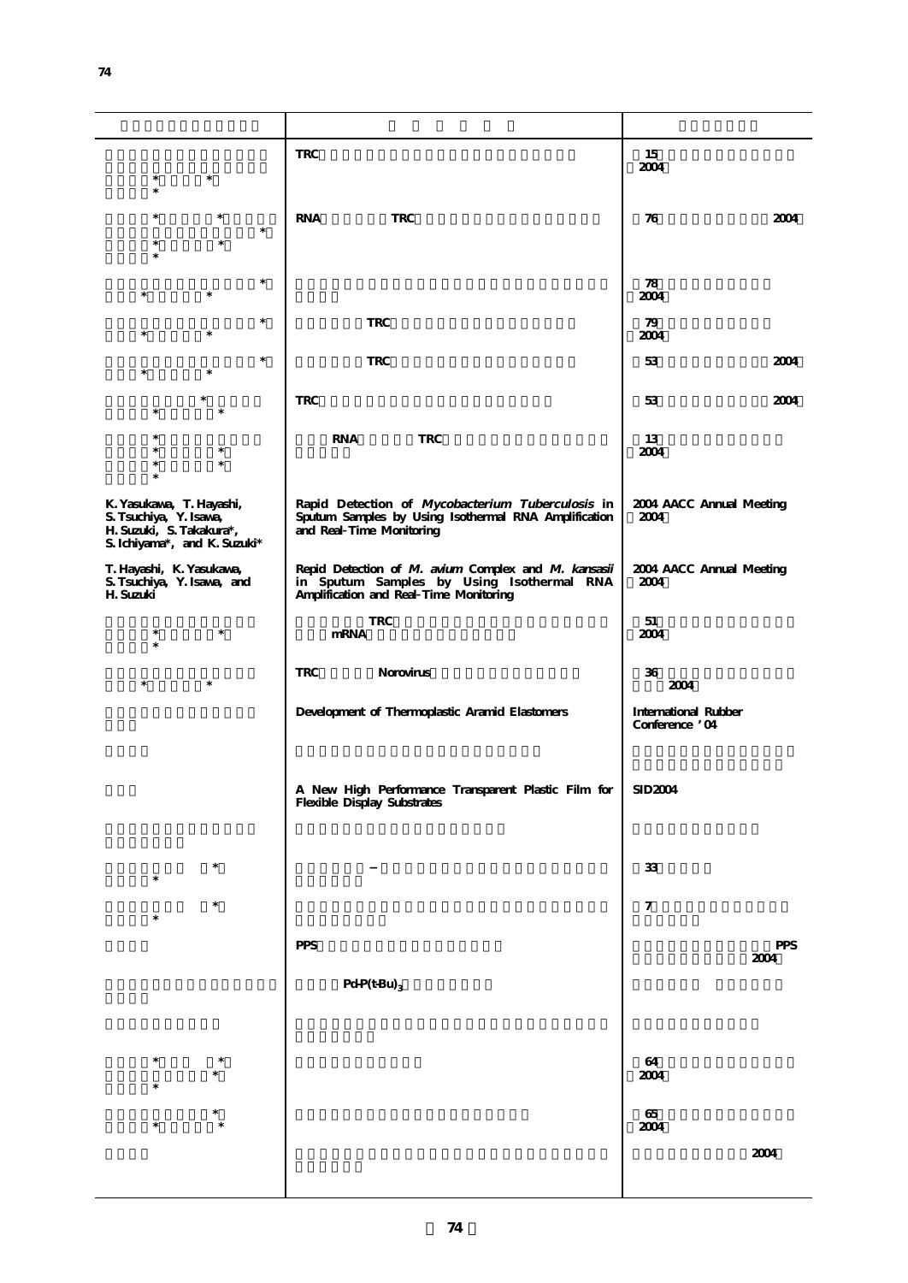|                                                                                                                | <b>TRC</b>                                                                                                                                 | 15<br>2004                                    |
|----------------------------------------------------------------------------------------------------------------|--------------------------------------------------------------------------------------------------------------------------------------------|-----------------------------------------------|
| ∗                                                                                                              |                                                                                                                                            |                                               |
| $\ast$                                                                                                         | <b>RNA</b><br><b>TRC</b>                                                                                                                   | 2004<br>76                                    |
|                                                                                                                |                                                                                                                                            |                                               |
| $\ast$<br>$\ast$<br>*                                                                                          |                                                                                                                                            | 78<br>2004                                    |
| $\ast$<br>$\ast$                                                                                               | <b>TRC</b>                                                                                                                                 | 79<br>2004                                    |
| $\ast$<br>$\ast$                                                                                               | <b>TRC</b>                                                                                                                                 | 53<br>2004                                    |
| $\ast$                                                                                                         | <b>TRC</b>                                                                                                                                 | 53<br>2004                                    |
| $\ast$<br>$\ast$                                                                                               | <b>RNA</b><br><b>TRC</b>                                                                                                                   | 13<br>2004                                    |
| K. Yasukawa, T. Hayashi,<br>S. Tsuchiya, Y. Isawa,<br>H. Suzuki, S. Takakura*,<br>S. Ichiyama*, and K. Suzuki* | Rapid Detection of Mycobacterium Tuberculosis in<br>Sputum Samples by Using Isothermal RNA Amplification<br>and Real Time Monitoring       | 2004 AACC Annual Meeting<br>2004              |
| T. Hayashi, K. Yasukawa,<br>S. Tsuchiya, Y. Isawa, and<br>H. Suzuki                                            | Repid Detection of M. avium Complex and M. kansasii<br>in Sputum Samples by Using Isothermal RNA<br>Amplification and Real Time Monitoring | 2004 AACC Annual Meeting<br>2004              |
| *                                                                                                              | <b>TRC</b><br>mRNA                                                                                                                         | 51<br>2004                                    |
| $\ast$<br>$\ast$                                                                                               | <b>TRC</b><br>Norovirus                                                                                                                    | 36<br>2004                                    |
|                                                                                                                | Development of Thermoplastic Aramid Elastomers                                                                                             | <b>International Rubber</b><br>Conference '04 |
|                                                                                                                | A New High Performance Transparent Plastic Film for<br><b>Flexible Display Substrates</b>                                                  | SID2004                                       |
| $\ast$                                                                                                         |                                                                                                                                            | $33\,$                                        |
|                                                                                                                |                                                                                                                                            | $\boldsymbol{7}$                              |
|                                                                                                                | <b>PPS</b>                                                                                                                                 | <b>PPS</b><br>$2004\,$                        |
|                                                                                                                | $PdP(t-Bu)$ <sub>3</sub>                                                                                                                   |                                               |
|                                                                                                                |                                                                                                                                            |                                               |
|                                                                                                                |                                                                                                                                            | 64<br>2004                                    |
|                                                                                                                |                                                                                                                                            | 65                                            |
| *                                                                                                              |                                                                                                                                            | 2004<br>2004                                  |
|                                                                                                                |                                                                                                                                            |                                               |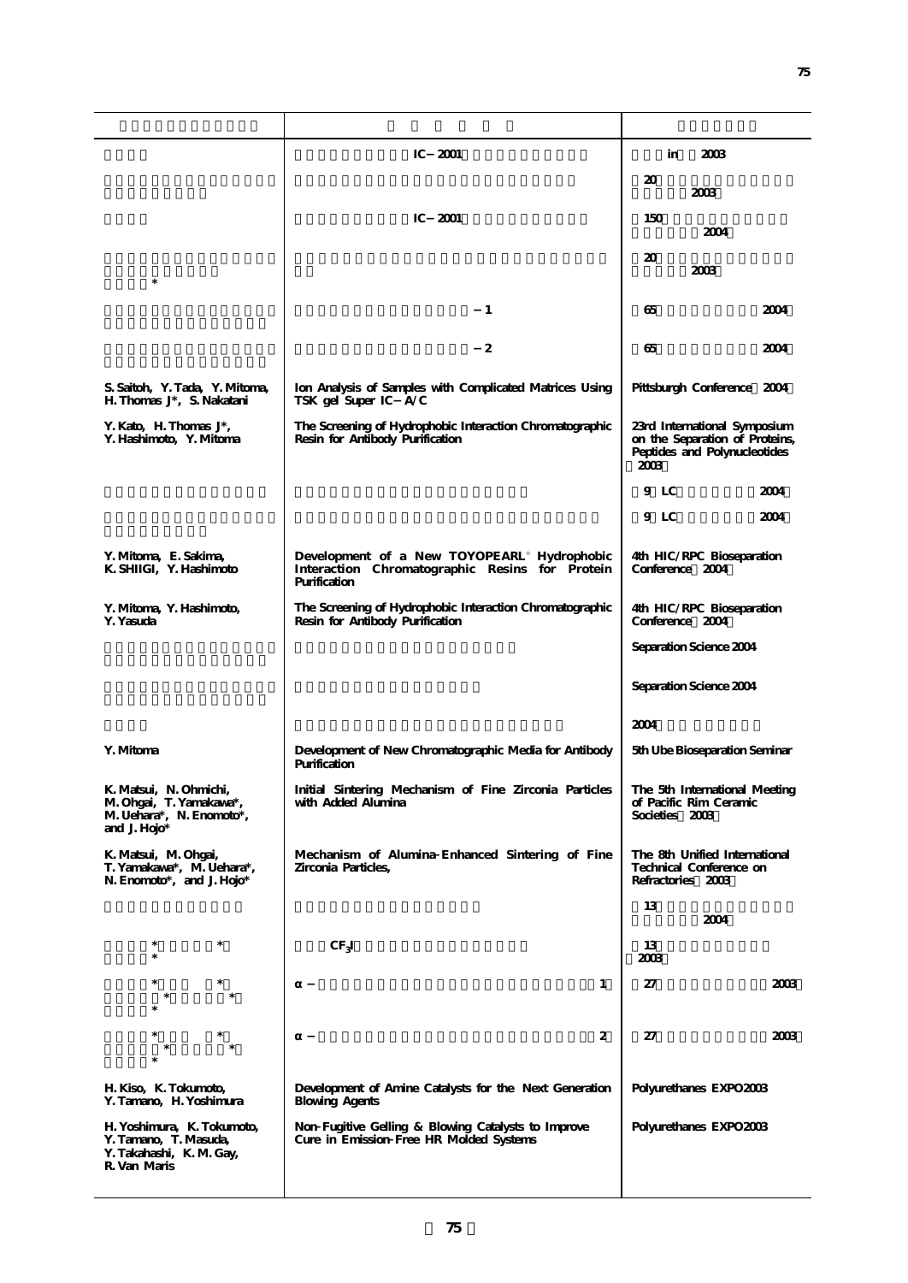|                                                                                                     | IC $2001$                                                                                                    | 2003<br>in                                                                                             |
|-----------------------------------------------------------------------------------------------------|--------------------------------------------------------------------------------------------------------------|--------------------------------------------------------------------------------------------------------|
|                                                                                                     |                                                                                                              | 20<br>2003                                                                                             |
|                                                                                                     | IC<br>2001                                                                                                   | 150<br>2004                                                                                            |
| $\ast$                                                                                              |                                                                                                              | 20<br>2003                                                                                             |
|                                                                                                     | $\mathbf{1}$                                                                                                 | 2004<br>65                                                                                             |
|                                                                                                     | 2                                                                                                            | 65<br>2004                                                                                             |
| S. Saitoh, Y. Tada, Y. Mitoma,<br>H. Thomas J <sup>*</sup> , S. Nakatani                            | Ion Analysis of Samples with Complicated Matrices Using<br>TSK gel Super IC A/C                              | Pittsburgh Conference 2004                                                                             |
| Y. Kato, H. Thomas $J^*$ ,<br>Y. Hashimoto, Y. Mitoma                                               | The Screening of Hydrophobic Interaction Chromatographic<br>Resin for Antibody Purification                  | 23rd International Symposium<br>on the Separation of Proteins,<br>Peptides and Polynucleotides<br>2003 |
|                                                                                                     |                                                                                                              | 9 LC<br>2004                                                                                           |
|                                                                                                     |                                                                                                              | 9 LC<br>2004                                                                                           |
| Y. Mitoma, E. Sakima,<br>K. SHIIGI, Y. Hashimoto                                                    | Development of a New TOYOPEARL Hydrophobic<br>Interaction Chromatographic Resins for Protein<br>Purification | 4th HIC/RPC Bioseparation<br>Conference 2004                                                           |
| Y. Mitoma, Y. Hashimoto,<br>Y. Yasuda                                                               | The Screening of Hydrophobic Interaction Chromatographic<br>Resin for Antibody Purification                  | 4th HIC/RPC Bioseparation<br>Conference 2004                                                           |
|                                                                                                     |                                                                                                              | Separation Science 2004                                                                                |
|                                                                                                     |                                                                                                              | Separation Science 2004                                                                                |
|                                                                                                     |                                                                                                              | 2004                                                                                                   |
| Y. Mitoma                                                                                           | Development of New Chromatographic Media for Antibody<br>Purification                                        | 5th Ube Bioseparation Seminar                                                                          |
| K. Matsui, N. Ohmichi,<br>M. Ohgai, T. Yamakawa*,<br>M. Uehara*, N. Enomoto*,<br>and J. $H$ ojo $*$ | Initial Sintering Mechanism of Fine Zirconia Particles<br>with Added Alumina                                 | The 5th International Meeting<br>of Pacific Rim Ceramic<br>Societies 2003                              |
| K. Matsui, M. Ohgai,<br>T. Yamakawa*, M. Uehara*,<br>N. Enomoto*, and J. Hojo*                      | Mechanism of Alumina Enhanced Sintering of Fine<br>Zirconia Particles,                                       | The 8th Unified International<br>Technical Conference on<br>Refractories 2003                          |
|                                                                                                     |                                                                                                              | 13<br>2004                                                                                             |
| $\ast$                                                                                              | CF <sub>3</sub>                                                                                              | 13<br>2003                                                                                             |
|                                                                                                     | $\mathbf{1}$                                                                                                 | 2003<br>27                                                                                             |
|                                                                                                     | $\boldsymbol{2}$                                                                                             | 27<br>2003                                                                                             |
| H. Kiso, K. Tokumoto,<br>Y. Tamano, H. Yoshimura                                                    | Development of Amine Catalysts for the Next Generation<br><b>Blowing Agents</b>                              | Polyurethanes EXPO2003                                                                                 |
| H. Yoshimura, K. Tokumoto,<br>Y. Tamano, T. Masuda,<br>Y. Takahashi, K. M. Gay,<br>R. Van Maris     | Non Fugitive Gelling & Blowing Catalysts to Improve<br>Cure in Emission Free HR Molded Systems               | Polyurethanes EXPO2003                                                                                 |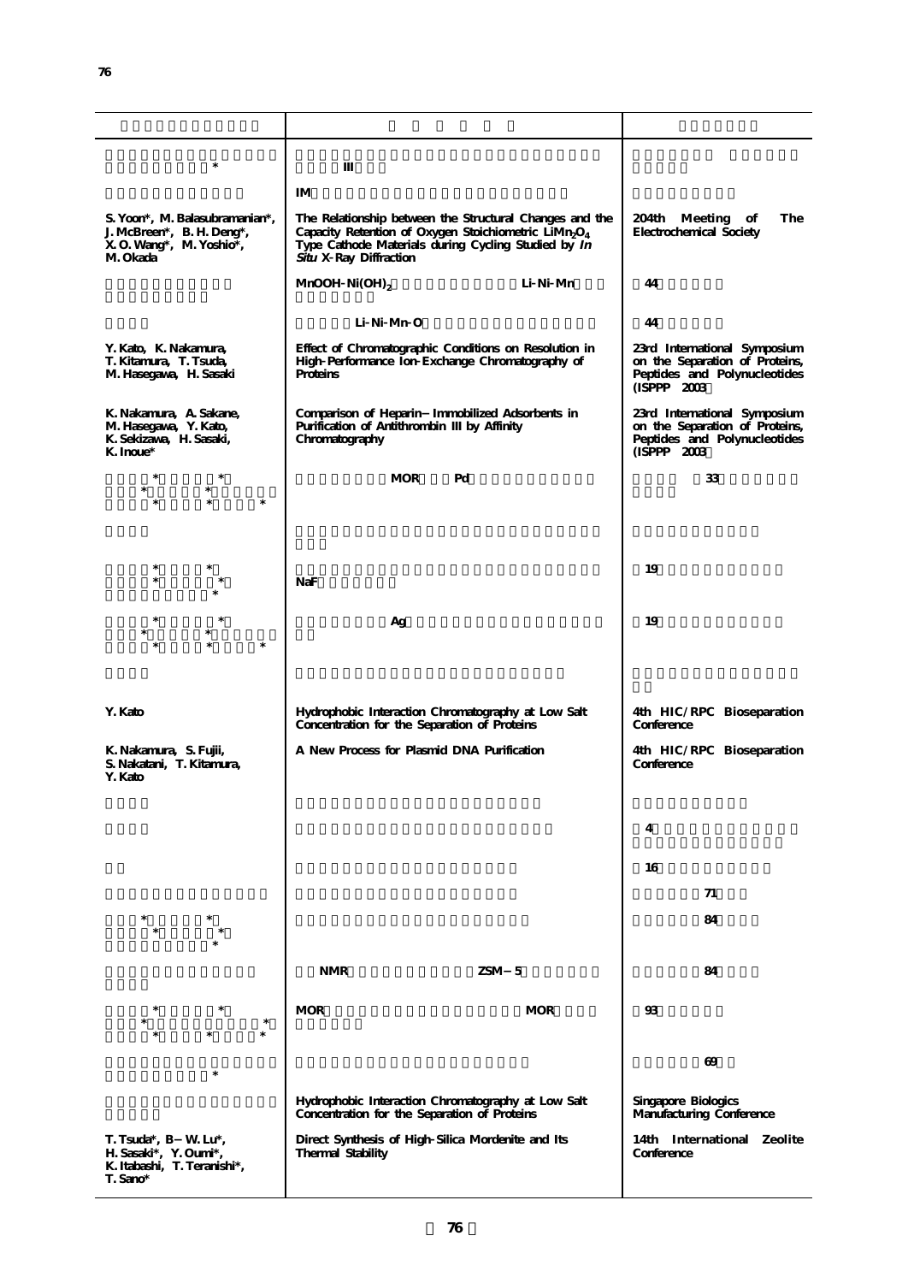| *                                                                                                  |                                                                                                                                                                                                                          |                                                                                                                |
|----------------------------------------------------------------------------------------------------|--------------------------------------------------------------------------------------------------------------------------------------------------------------------------------------------------------------------------|----------------------------------------------------------------------------------------------------------------|
|                                                                                                    |                                                                                                                                                                                                                          |                                                                                                                |
|                                                                                                    | ΙM                                                                                                                                                                                                                       |                                                                                                                |
| S. Yoon*, M. Balasubramanian*,<br>J. McBreen*, B. H. Deng*,<br>X O. Wang*, M. Yoshio*,<br>M. Okada | The Relationship between the Structural Changes and the<br>Capacity Retention of Oxygen Stoichiometric LiMn <sub>2</sub> O <sub>4</sub><br>Type Cathode Materials during Cycling Studied by In<br>Situ X Ray Diffraction | The<br>204th Meeting of<br>Electrochemical Society                                                             |
|                                                                                                    | Li Ni Mn<br>MnOOH $Ni(OH)_{2}$                                                                                                                                                                                           | 44                                                                                                             |
|                                                                                                    | Li Ni Mn O                                                                                                                                                                                                               | 44                                                                                                             |
| Y. Kato, K. Nakamura,<br>T. Kitamura, T. Tsuda,<br>M. Hasegawa, H. Sasaki                          | Effect of Chromatographic Conditions on Resolution in<br>High Performance Ion Exchange Chromatography of<br>Proteins                                                                                                     | 23rd International Symposium<br>on the Separation of Proteins,<br>Peptides and Polynucleotides<br>(ISPPP 2003) |
| K. Nakamura, A. Sakane,<br>M. Hasegawa, Y. Kato,<br>K. Sekizawa, H. Sasaki,<br>K. Inoue*           | Comparison of Heparin Immobilized Adsorbents in<br>Purification of Antithrombin<br>by Affinity<br>Chromatography                                                                                                         | 23rd International Symposium<br>on the Separation of Proteins,<br>Peptides and Polynucleotides<br>(ISPPP 2003) |
|                                                                                                    | <b>MOR</b><br>Pd                                                                                                                                                                                                         | 33                                                                                                             |
| $\ast$                                                                                             |                                                                                                                                                                                                                          |                                                                                                                |
|                                                                                                    |                                                                                                                                                                                                                          |                                                                                                                |
|                                                                                                    |                                                                                                                                                                                                                          |                                                                                                                |
| ∗                                                                                                  |                                                                                                                                                                                                                          |                                                                                                                |
| $\ast$                                                                                             | NaF                                                                                                                                                                                                                      | 19                                                                                                             |
|                                                                                                    |                                                                                                                                                                                                                          |                                                                                                                |
|                                                                                                    | Ag                                                                                                                                                                                                                       | 19                                                                                                             |
| $\ast$                                                                                             |                                                                                                                                                                                                                          |                                                                                                                |
|                                                                                                    |                                                                                                                                                                                                                          |                                                                                                                |
|                                                                                                    |                                                                                                                                                                                                                          |                                                                                                                |
| Y. Kato                                                                                            | Hydrophobic Interaction Chromatography at Low Salt<br>Concentration for the Separation of Proteins                                                                                                                       | 4th HIC/RPC Bioseparation<br>Conference                                                                        |
| K. Nakamura, S. Fujii,<br>S. Nakatani, T. Kitamura,<br>Y. Kato                                     | A New Process for Plasmid DNA Purification                                                                                                                                                                               | 4th HIC/RPC Bioseparation<br>Conference                                                                        |
|                                                                                                    |                                                                                                                                                                                                                          |                                                                                                                |
|                                                                                                    |                                                                                                                                                                                                                          |                                                                                                                |
|                                                                                                    |                                                                                                                                                                                                                          | 4                                                                                                              |
|                                                                                                    |                                                                                                                                                                                                                          | 16                                                                                                             |
|                                                                                                    |                                                                                                                                                                                                                          | 71                                                                                                             |
|                                                                                                    |                                                                                                                                                                                                                          | 84                                                                                                             |
|                                                                                                    |                                                                                                                                                                                                                          |                                                                                                                |
|                                                                                                    | $ZSM$ 5<br><b>NMR</b>                                                                                                                                                                                                    | 84                                                                                                             |
|                                                                                                    |                                                                                                                                                                                                                          |                                                                                                                |
| $\ast$                                                                                             | <b>MOR</b><br><b>MOR</b>                                                                                                                                                                                                 | 93                                                                                                             |
| $\ast$                                                                                             |                                                                                                                                                                                                                          |                                                                                                                |
|                                                                                                    |                                                                                                                                                                                                                          | 69                                                                                                             |
|                                                                                                    | Hydrophobic Interaction Chromatography at Low Salt<br>Concentration for the Separation of Proteins                                                                                                                       | Singapore Biologics<br>Manufacturing Conference                                                                |
| T. Tsuda*, B W. Lu*,<br>H. Sasaki*, Y. Oumi*,<br>K. Itabashi, T. Teranishi*,<br>T. Sano*           | Direct Synthesis of High Silica Mordenite and Its<br>Thermal Stability                                                                                                                                                   | 14th International Zeolite<br>Conference                                                                       |